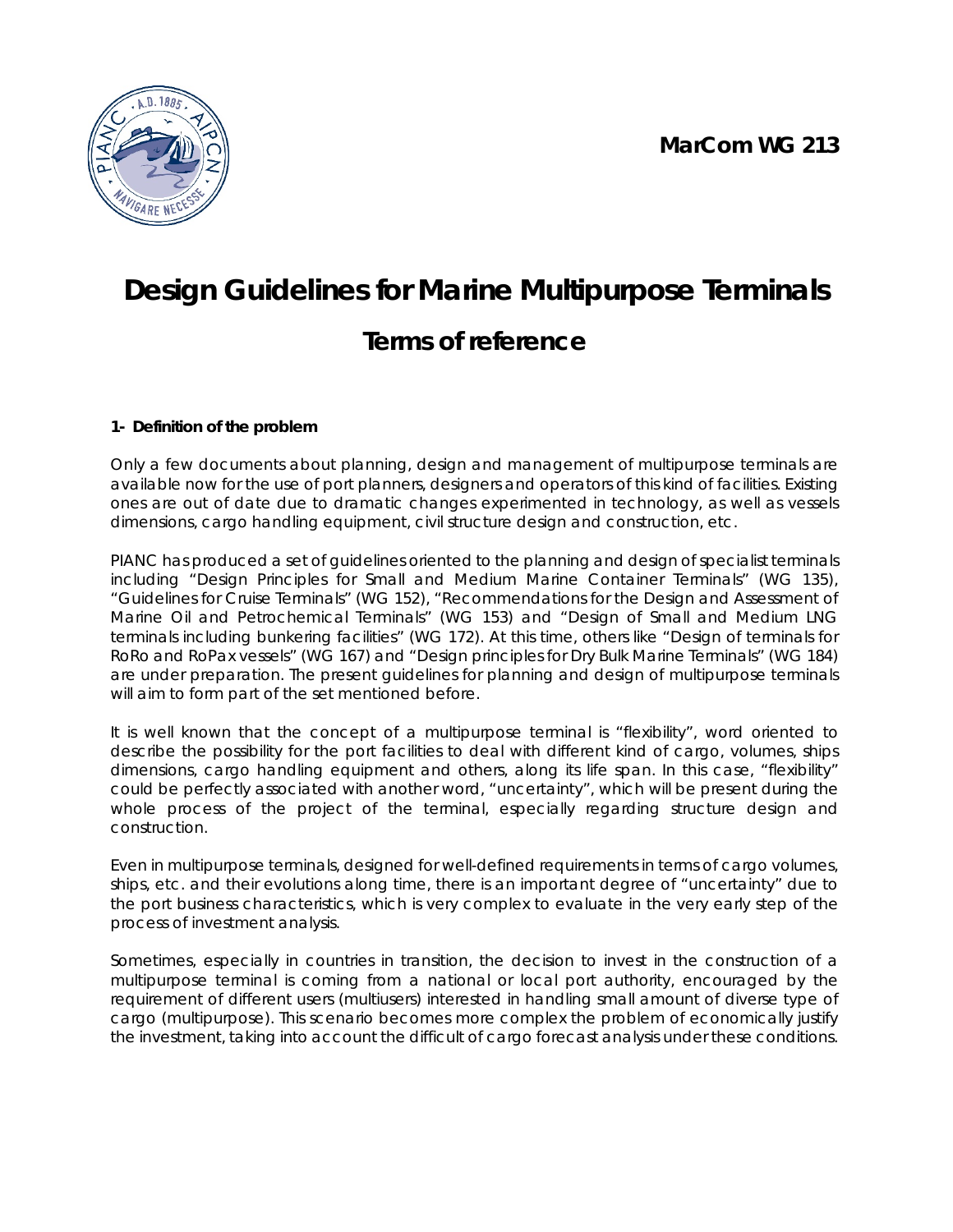

# **Design Guidelines for Marine Multipurpose Terminals Terms of reference**

# **1- Definition of the problem**

Only a few documents about planning, design and management of multipurpose terminals are available now for the use of port planners, designers and operators of this kind of facilities. Existing ones are out of date due to dramatic changes experimented in technology, as well as vessels dimensions, cargo handling equipment, civil structure design and construction, etc.

PIANC has produced a set of guidelines oriented to the planning and design of specialist terminals including "Design Principles for Small and Medium Marine Container Terminals" (WG 135), "Guidelines for Cruise Terminals" (WG 152), "Recommendations for the Design and Assessment of Marine Oil and Petrochemical Terminals" (WG 153) and "Design of Small and Medium LNG terminals including bunkering facilities" (WG 172). At this time, others like "Design of terminals for RoRo and RoPax vessels" (WG 167) and "Design principles for Dry Bulk Marine Terminals" (WG 184) are under preparation. The present guidelines for planning and design of multipurpose terminals will aim to form part of the set mentioned before.

It is well known that the concept of a multipurpose terminal is "flexibility", word oriented to describe the possibility for the port facilities to deal with different kind of cargo, volumes, ships dimensions, cargo handling equipment and others, along its life span. In this case, "flexibility" could be perfectly associated with another word, "uncertainty", which will be present during the whole process of the project of the terminal, especially regarding structure design and construction.

Even in multipurpose terminals, designed for well-defined requirements in terms of cargo volumes, ships, etc. and their evolutions along time, there is an important degree of "uncertainty" due to the port business characteristics, which is very complex to evaluate in the very early step of the process of investment analysis.

Sometimes, especially in countries in transition, the decision to invest in the construction of a multipurpose terminal is coming from a national or local port authority, encouraged by the requirement of different users (multiusers) interested in handling small amount of diverse type of cargo (multipurpose). This scenario becomes more complex the problem of economically justify the investment, taking into account the difficult of cargo forecast analysis under these conditions.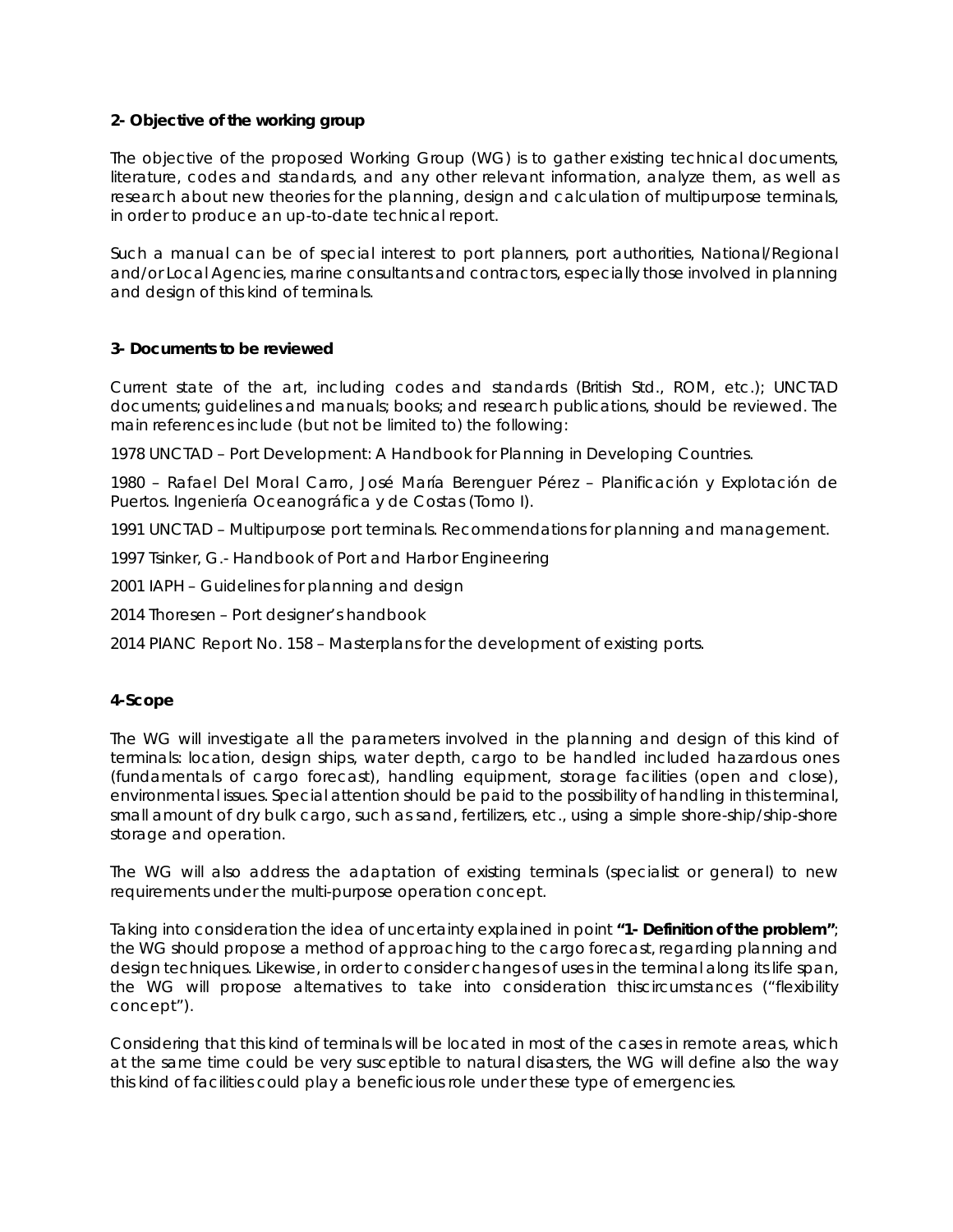#### **2- Objective of the working group**

The objective of the proposed Working Group (WG) is to gather existing technical documents, literature, codes and standards, and any other relevant information, analyze them, as well as research about new theories for the planning, design and calculation of multipurpose terminals, in order to produce an up-to-date technical report.

Such a manual can be of special interest to port planners, port authorities, National/Regional and/or Local Agencies, marine consultants and contractors, especially those involved in planning and design of this kind of terminals.

## **3- Documents to be reviewed**

Current state of the art, including codes and standards (British Std., ROM, etc.); UNCTAD documents; guidelines and manuals; books; and research publications, should be reviewed. The main references include (but not be limited to) the following:

1978 UNCTAD – Port Development: A Handbook for Planning in Developing Countries.

1980 – Rafael Del Moral Carro, José María Berenguer Pérez – Planificación y Explotación de Puertos. Ingeniería Oceanográfica y de Costas (Tomo I).

1991 UNCTAD – Multipurpose port terminals. Recommendations for planning and management.

1997 Tsinker, G.- Handbook of Port and Harbor Engineering

2001 IAPH – Guidelines for planning and design

2014 Thoresen – Port designer's handbook

2014 PIANC Report No. 158 – Masterplans for the development of existing ports.

#### **4-Scope**

The WG will investigate all the parameters involved in the planning and design of this kind of terminals: location, design ships, water depth, cargo to be handled included hazardous ones (fundamentals of cargo forecast), handling equipment, storage facilities (open and close), environmental issues. Special attention should be paid to the possibility of handling in this terminal, small amount of dry bulk cargo, such as sand, fertilizers, etc., using a simple shore-ship/ship-shore storage and operation.

The WG will also address the adaptation of existing terminals (specialist or general) to new requirements under the multi-purpose operation concept.

Taking into consideration the idea of uncertainty explained in point **"1- Definition of the problem"**; the WG should propose a method of approaching to the cargo forecast, regarding planning and design techniques. Likewise, in order to consider changes of uses in the terminal along its life span, the WG will propose alternatives to take into consideration thiscircumstances ("flexibility concept").

Considering that this kind of terminals will be located in most of the cases in remote areas, which at the same time could be very susceptible to natural disasters, the WG will define also the way this kind of facilities could play a beneficious role under these type of emergencies.